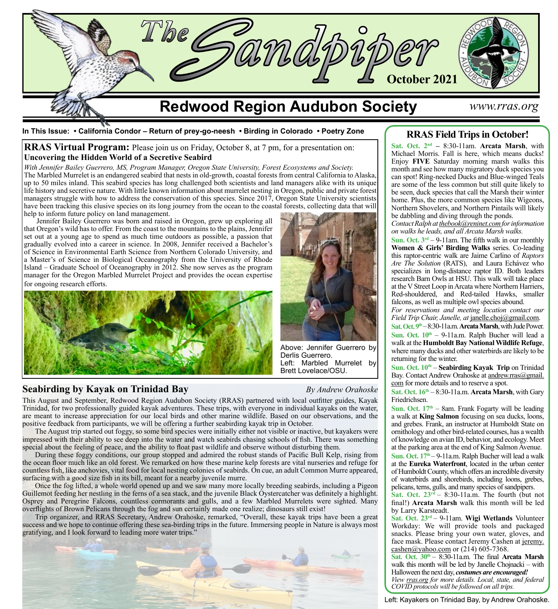

**In This Issue: • California Condor – Return of prey-go-neesh • Birding in Colorado • Poetry Zone**

**RRAS Virtual Program:** Please join us on Friday, October 8, at 7 pm, for a presentation on: **Uncovering the Hidden World of a Secretive Seabird**

*With Jennifer Bailey Guerrero, MS, Program Manager, Oregon State University, Forest Ecosystems and Society.* The Marbled Murrelet is an endangered seabird that nests in old-growth, coastal forests from central California to Alaska, up to 50 miles inland. This seabird species has long challenged both scientists and land managers alike with its unique life history and secretive nature. With little known information about murrelet nesting in Oregon, public and private forest managers struggle with how to address the conservation of this species. Since 2017, Oregon State University scientists have been tracking this elusive species on its long journey from the ocean to the coastal forests, collecting data that will help to inform future policy on land management.

Jennifer Bailey Guerrero was born and raised in Oregon, grew up exploring all that Oregon's wild has to offer. From the coast to the mountains to the plains, Jennifer set out at a young age to spend as much time outdoors as possible, a passion that gradually evolved into a career in science. In 2008, Jennifer received a Bachelor's of Science in Environmental Earth Science from Northern Colorado University, and a Master's of Science in Biological Oceanography from the University of Rhode Island – Graduate School of Oceanography in 2012. She now serves as the program manager for the Oregon Marbled Murrelet Project and provides the ocean expertise for ongoing research efforts.



# **Seabirding by Kayak on Trinidad Bay** *By Andrew Orahoske*



Above: Jennifer Guerrero by Derlis Guerrero. Left: Marbled Murrelet by Brett Lovelace/OSU.

This August and September, Redwood Region Audubon Society (RRAS) partnered with local outfitter guides, Kayak Trinidad, for two professionally guided kayak adventures. These trips, with everyone in individual kayaks on the water, are meant to increase appreciation for our local birds and other marine wildlife. Based on our observations, and the positive feedback from participants, we will be offering a further seabirding kayak trip in October.

The August trip started out foggy, so some bird species were initially either not visible or inactive, but kayakers were impressed with their ability to see deep into the water and watch seabirds chasing schools of fish. There was something special about the feeling of peace, and the ability to float past wildlife and observe without disturbing them.

During these foggy conditions, our group stopped and admired the robust stands of Pacific Bull Kelp, rising from the ocean floor much like an old forest. We remarked on how these marine kelp forests are vital nurseries and refuge for countless fish, like anchovies, vital food for local nesting colonies of seabirds. On cue, an adult Common Murre appeared, surfacing with a good size fish in its bill, meant for a nearby juvenile murre.

Once the fog lifted, a whole world opened up and we saw many more locally breeding seabirds, including a Pigeon Guillemot feeding her nestling in the ferns of a sea stack, and the juvenile Black Oystercatcher was definitely a highlight. Osprey and Peregrine Falcons, countless cormorants and gulls, and a few Marbled Murrelets were sighted. Many overflights of Brown Pelicans through the fog and sun certainly made one realize; dinosaurs still exist!

Trip organizer, and RRAS Secretary, Andrew Orahoske, remarked, "Overall, these kayak trips have been a great success and we hope to continue offering these sea-birding trips in the future. Immersing people in Nature is always most gratifying, and I look forward to leading more water trips."



# **RRAS Field Trips in October!**

**Sat. Oct. 2nd –** 8:30-11am. **Arcata Marsh**, with Michael Morris. Fall is here, which means ducks! Enjoy **FIVE** Saturday morning marsh walks this month and see how many migratory duck species you can spot! Ring-necked Ducks and Blue-winged Teals are some of the less common but still quite likely to be seen, duck species that call the Marsh their winter home. Plus, the more common species like Wigeons, Northern Shovelers, and Northern Pintails will likely be dabbling and diving through the ponds.

*Contact Ralph at [thebook@reninet.com](http://thebook@reninet.com) for information on walks he leads, and all Arcata Marsh walks.*

**Sun. Oct. 3rd** – 9-11am. The fifth walk in our monthly **Women & Girls' Birding Walks** series. Co-leading this raptor-centric walk are Jaime Carlino of *Raptors Are The Solution* (RATS), and Laura Echávez who specializes in long-distance raptor ID. Both leaders research Barn Owls at HSU. This walk will take place at the V Street Loop in Arcata where Northern Harriers, Red-shouldered, and Red-tailed Hawks, smaller falcons, as well as multiple owl species abound.

*For reservations and meeting location contact our Field Trip Chair, Janelle, at [janelle.choj@gmail.com.](mailto:janelle.choj%40gmail.com?subject=)* 

**Sat. Oct. 9th** – 8:30-11a.m. **Arcata Marsh**, with Jude Power. Sun. Oct.  $10<sup>th</sup> - 9$ -11a.m. Ralph Bucher will lead a walk at the **Humboldt Bay National Wildlife Refuge**, where many ducks and other waterbirds are likely to be returning for the winter.

**Sun. Oct. 10<sup>th</sup> – Seabirding Kayak Trip** on Trinidad Bay. Contact Andrew Orahoske at [andrew.rras@gmail.](mailto:andrew.rras%40gmail.com?subject=) [com](mailto:andrew.rras%40gmail.com?subject=) for more details and to reserve a spot.

**Sat. Oct. 16th** – 8:30-11a.m. **Arcata Marsh**, with Gary Friedrichsen.

**Sun. Oct.**  $17<sup>th</sup> - 8$ am. Frank Fogarty will be leading a walk at **King Salmon** focusing on sea ducks, loons, and grebes. Frank, an instructor at Humboldt State on ornithology and other bird-related courses, has a wealth of knowledge on avian ID, behavior, and ecology. Meet at the parking area at the end of King Salmon Avenue. Sun. Oct. 17<sup>th</sup> – 9-11a.m. Ralph Bucher will lead a walk at the **Eureka Waterfront**, located in the urban center of Humboldt County, which offers an incredible diversity of waterbirds and shorebirds, including loons, grebes, pelicans, terns, gulls, and many species of sandpipers.

**Sat. Oct. 23rd** – 8:30-11a.m. The fourth (but not final!) **Arcata Marsh** walk this month will be led by Larry Karsteadt.

**Sat. Oct. 23rd** – 9-11am. **Wigi Wetlands** Volunteer Workday: We will provide tools and packaged snacks. Please bring your own water, gloves, and face mask. Please contact Jeremy Cashen at [jeremy.](mailto:jeremy.cashen%40yahoo.com?subject=)  $cashen@yahoo.com$  or (214) 605-7368.

**Sat. Oct. 30th** – 8:30-11a.m. The final **Arcata Marsh** walk this month will be led by Janelle Chojnacki – with Halloween the next day, *costumes are encouraged! View [rras.org](http://rras.org/home.aspx) for more details. Local, state, and federal COVID protocols will be followed on all trips.*

Left: Kayakers on Trinidad Bay, by Andrew Orahoske.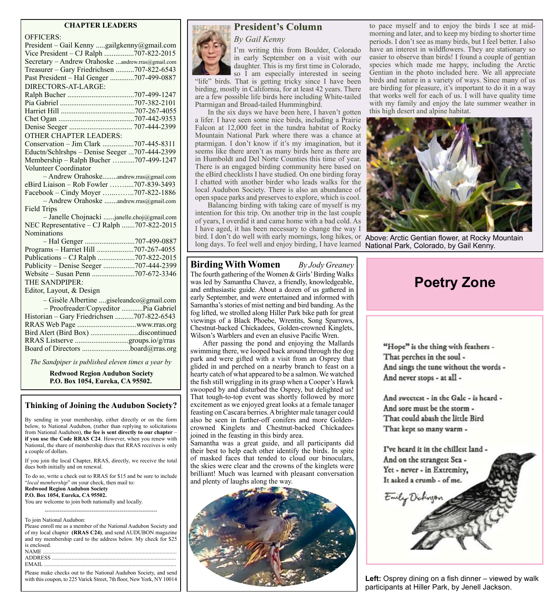#### **CHAPTER LEADERS**

| <b>OFFICERS:</b>                                  |
|---------------------------------------------------|
| President - Gail Kenny gailgkenny@gmail.com       |
| Vice President - CJ Ralph 707-822-2015            |
| Secretary - Andrew Orahoske andrew.rras@gmail.com |
| Treasurer - Gary Friedrichsen 707-822-6543        |
| Past President - Hal Genger 707-499-0887          |
| DIRECTORS-AT-LARGE:                               |
|                                                   |
|                                                   |
|                                                   |
|                                                   |
|                                                   |
| <b>OTHER CHAPTER LEADERS:</b>                     |
| Conservation - Jim Clark 707-445-8311             |
| Eductn/Schlrshps - Denise Seeger 707-444-2399     |
| Membership - Ralph Bucher 707-499-1247            |
| Volunteer Coordinator                             |
| - Andrew Orahoskeandrew.rras@gmail.com            |
| eBird Liaison - Rob Fowler 707-839-3493           |
| Facebook - Cindy Moyer 707-822-1886               |
| - Andrew Orahoske andrew.rras@gmail.com           |
| <b>Field Trips</b>                                |
| - Janelle Chojnacki janelle.choj@gmail.com        |
| NEC Representative - CJ Ralph 707-822-2015        |
| Nominations                                       |
|                                                   |
| Programs - Harriet Hill 707-267-4055              |
| Publications - CJ Ralph 707-822-2015              |
| Publicity - Denise Seeger 707-444-2399            |
|                                                   |
| THE SANDPIPER:                                    |
| Editor, Layout, & Design                          |
| - Gisèle Albertine giseleandco@gmail.com          |
| - Proofreader/Copyeditor  Pia Gabriel             |
| Historian - Gary Friedrichsen 707-822-6543        |
|                                                   |
| Bird Alert (Bird Box) discontinued                |
|                                                   |
|                                                   |

*The Sandpiper is published eleven times a year by*

**Redwood Region Audubon Society P.O. Box 1054, Eureka, CA 95502.**

## **Thinking of Joining the Audubon Society?**

By sending in your membership, either directly or on the form below, to National Audubon, (rather than replying to solicitations from National Audubon), **the fee is sent directly to our chapter** – **if you use the Code RRAS C24**. However, when you renew with National, the share of membership dues that RRAS receives is only a couple of dollars.

If you join the local Chapter, RRAS, directly, we receive the total dues both initially and on renewal.

To do so, write a check out to RRAS for \$15 and be sure to include "*local membership*" on your check, then mail to: **Redwood Region Audubon Society P.O. Box 1054, Eureka, CA 95502.**

------------------------------------------------------------

You are welcome to join both nationally and locally.

To join National Audubon:

Please enroll me as a member of the National Audubon Society and of my local chapter **(RRAS C24)**, and send AUDUBON magazine and my membership card to the address below. My check for \$25 is enclosed.<br>NAME ...... NAME ............................................................................................... ADDRESS<br>EMAIL ...... EMAIL ..............................................................................................

Please make checks out to the National Audubon Society, and send with this coupon, to 225 Varick Street, 7th floor, New York, NY 10014





in early September on a visit with our daughter. This is my first time in Colorado, so I am especially interested in seeing "life" birds. That is getting tricky since I have been

birding, mostly in California, for at least 42 years. There are a few possible life birds here including White-tailed Ptarmigan and Broad-tailed Hummingbird.

In the six days we have been here, I haven't gotten a lifer. I have seen some nice birds, including a Prairie Falcon at 12,000 feet in the tundra habitat of Rocky Mountain National Park where there was a chance at ptarmigan. I don't know if it's my imagination, but it seems like there aren't as many birds here as there are in Humboldt and Del Norte Counties this time of year. There is an engaged birding community here based on the eBird checklists I have studied. On one birding foray I chatted with another birder who leads walks for the local Audubon Society. There is also an abundance of open space parks and preserves to explore, which is cool.

Balancing birding with taking care of myself is my intention for this trip. On another trip in the last couple of years, I overdid it and came home with a bad cold. As I have aged, it has been necessary to change the way I bird. I don't do well with early mornings, long hikes, or Above: Arctic Gentian flower, at Rocky Mountain long days. To feel well and enjoy birding, I have learned National Park, Colorado, by Gail Kenny.

## **Birding With Women** *By Jody Greaney*

The fourth gathering of the Women & Girls' Birding Walks was led by Samantha Chavez, a friendly, knowledgeable, and enthusiastic guide. About a dozen of us gathered in early September, and were entertained and informed with Samantha's stories of mist netting and bird banding. As the fog lifted, we strolled along Hiller Park bike path for great viewings of a Black Phoebe, Wrentits, Song Sparrows, Chestnut-backed Chickadees, Golden-crowned Kinglets, Wilson's Warblers and even an elusive Pacific Wren.

After passing the pond and enjoying the Mallards swimming there, we looped back around through the dog park and were gifted with a visit from an Osprey that glided in and perched on a nearby branch to feast on a hearty catch of what appeared to be a salmon. We watched the fish still wriggling in its grasp when a Cooper's Hawk swooped by and disturbed the Osprey, but delighted us! That tough-to-top event was shortly followed by more excitement as we enjoyed great looks at a female tanager feasting on Cascara berries. A brighter male tanager could also be seen in further-off conifers and more Goldencrowned Kinglets and Chestnut-backed Chickadees joined in the feasting in this birdy area.

Samantha was a great guide, and all participants did their best to help each other identify the birds. In spite of masked faces that tended to cloud our binoculars, the skies were clear and the crowns of the kinglets were brilliant! Much was learned with pleasant conversation and plenty of laughs along the way.



to pace myself and to enjoy the birds I see at midmorning and later, and to keep my birding to shorter time periods. I don't see as many birds, but I feel better. I also have an interest in wildflowers. They are stationary so easier to observe than birds! I found a couple of gentian species which made me happy, including the Arctic Gentian in the photo included here. We all appreciate birds and nature in a variety of ways. Since many of us are birding for pleasure, it's important to do it in a way that works well for each of us. I will have quality time with my family and enjoy the late summer weather in this high desert and alpine habitat.



# **Poetry Zone**

"Hope" is the thing with feathers -That perches in the soul -And sings the tune without the words -And never stops - at all -

And sweetest - in the Gale - is heard -And sore must be the storm -That could abash the little Bird That kept so many warm -

I've heard it in the chillest land -And on the strangest Sea -Yet - never - in Extremity, It asked a crumb - of me.



Left: Osprey dining on a fish dinner – viewed by walk participants at Hiller Park, by Jenell Jackson.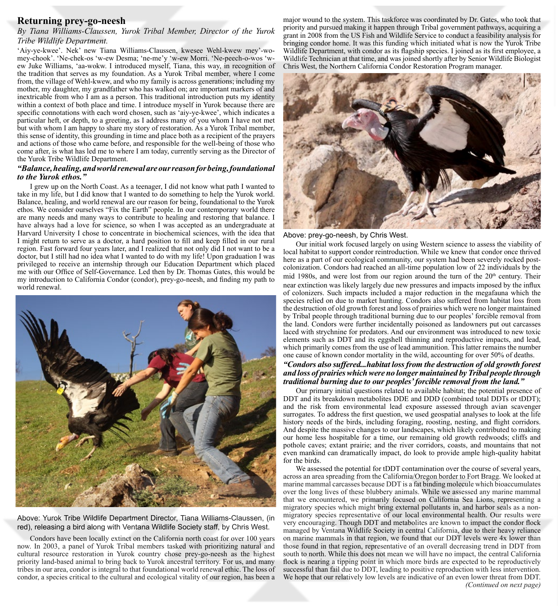# **Returning prey-go-neesh**

## *By Tiana Williams-Claussen, Yurok Tribal Member, Director of the Yurok Tribe Wildlife Department.*

'Aiy-ye-kwee'. Nek' new Tiana Williams-Claussen, kwesee Wehl-kwew mey'-womey-chook'. 'Ne-chek-os 'w-ew Desma; 'ne-me'y 'w-ew Morri. 'Ne-peech-o-wos 'wew Juke Williams, 'aa-wokw. I introduced myself, Tiana, this way, in recognition of the tradition that serves as my foundation. As a Yurok Tribal member, where I come from, the village of Wehl-kwew, and who my family is across generations; including my mother, my daughter, my grandfather who has walked on; are important markers of and inextricable from who I am as a person. This traditional introduction puts my identity within a context of both place and time. I introduce myself in Yurok because there are specific connotations with each word chosen, such as 'aiy-ye-kwee', which indicates a particular heft, or depth, to a greeting, as I address many of you whom I have not met but with whom I am happy to share my story of restoration. As a Yurok Tribal member, this sense of identity, this grounding in time and place both as a recipient of the prayers and actions of those who came before, and responsible for the well-being of those who come after, is what has led me to where I am today, currently serving as the Director of the Yurok Tribe Wildlife Department.

#### *"Balance, healing, and world renewal are our reason for being, foundational to the Yurok ethos."*

I grew up on the North Coast. As a teenager, I did not know what path I wanted to take in my life, but I did know that I wanted to do something to help the Yurok world. Balance, healing, and world renewal are our reason for being, foundational to the Yurok ethos. We consider ourselves "Fix the Earth" people. In our contemporary world there are many needs and many ways to contribute to healing and restoring that balance. I have always had a love for science, so when I was accepted as an undergraduate at Harvard University I chose to concentrate in biochemical sciences, with the idea that I might return to serve as a doctor, a hard position to fill and keep filled in our rural region. Fast forward four years later, and I realized that not only did I not want to be a doctor, but I still had no idea what I wanted to do with my life! Upon graduation I was privileged to receive an internship through our Education Department which placed me with our Office of Self-Governance. Led then by Dr. Thomas Gates, this would be my introduction to California Condor (condor), prey-go-neesh, and finding my path to world renewal.



Above: Yurok Tribe Wildlife Department Director, Tiana Williams-Claussen, (in red), releasing a bird along with Ventana Wildlife Society staff, by Chris West.

Condors have been locally extinct on the California north coast for over 100 years now. In 2003, a panel of Yurok Tribal members tasked with prioritizing natural and cultural resource restoration in Yurok country chose prey-go-neesh as the highest priority land-based animal to bring back to Yurok ancestral territory. For us, and many tribes in our area, condor is integral to that foundational world renewal ethic. The loss of condor, a species critical to the cultural and ecological vitality of our region, has been a

major wound to the system. This taskforce was coordinated by Dr. Gates, who took that priority and pursued making it happen through Tribal government pathways, acquiring a grant in 2008 from the US Fish and Wildlife Service to conduct a feasibility analysis for bringing condor home. It was this funding which initiated what is now the Yurok Tribe Wildlife Department, with condor as its flagship species. I joined as its first employee, a Wildlife Technician at that time, and was joined shortly after by Senior Wildlife Biologist Chris West, the Northern California Condor Restoration Program manager.



Above: prey-go-neesh, by Chris West.

Our initial work focused largely on using Western science to assess the viability of local habitat to support condor reintroduction. While we knew that condor once thrived here as a part of our ecological community, our system had been severely rocked postcolonization. Condors had reached an all-time population low of 22 individuals by the mid 1980s, and were lost from our region around the turn of the  $20<sup>th</sup>$  century. Their near extinction was likely largely due new pressures and impacts imposed by the influx of colonizers. Such impacts included a major reduction in the megafauna which the species relied on due to market hunting. Condors also suffered from habitat loss from the destruction of old growth forest and loss of prairies which were no longer maintained by Tribal people through traditional burning due to our peoples' forcible removal from the land. Condors were further incidentally poisoned as landowners put out carcasses laced with strychnine for predators. And our environment was introduced to new toxic elements such as DDT and its eggshell thinning and reproductive impacts, and lead, which primarily comes from the use of lead ammunition. This latter remains the number one cause of known condor mortality in the wild, accounting for over 50% of deaths.

#### *"Condors also suffered...habitat loss from the destruction of old growth forest and loss of prairies which were no longer maintained by Tribal people through traditional burning due to our peoples' forcible removal from the land."*

Our primary initial questions related to available habitat; the potential presence of DDT and its breakdown metabolites DDE and DDD (combined total DDTs or tDDT); and the risk from environmental lead exposure assessed through avian scavenger surrogates. To address the first question, we used geospatial analyses to look at the life history needs of the birds, including foraging, roosting, nesting, and flight corridors. And despite the massive changes to our landscapes, which likely contributed to making our home less hospitable for a time, our remaining old growth redwoods; cliffs and pothole caves; extant prairie; and the river corridors, coasts, and mountains that not even mankind can dramatically impact, do look to provide ample high-quality habitat for the birds.

We assessed the potential for tDDT contamination over the course of several years, across an area spreading from the California/Oregon border to Fort Bragg. We looked at marine mammal carcasses because DDT is a fat binding molecule which bioaccumulates over the long lives of these blubbery animals. While we assessed any marine mammal that we encountered, we primarily focused on California Sea Lions, representing a migratory species which might bring external pollutants in, and harbor seals as a nonmigratory species representative of our local environmental health. Our results were very encouraging. Though DDT and metabolites are known to impact the condor flock managed by Ventana Wildlife Society in central California, due to their heavy reliance on marine mammals in that region, we found that our DDT levels were 4x lower than those found in that region, representative of an overall decreasing trend in DDT from south to north. While this does not mean we will have no impact, the central California flock is nearing a tipping point in which more birds are expected to be reproductively successful than fail due to DDT, leading to positive reproduction with less intervention. We hope that our relatively low levels are indicative of an even lower threat from DDT. *(Continued on next page)*